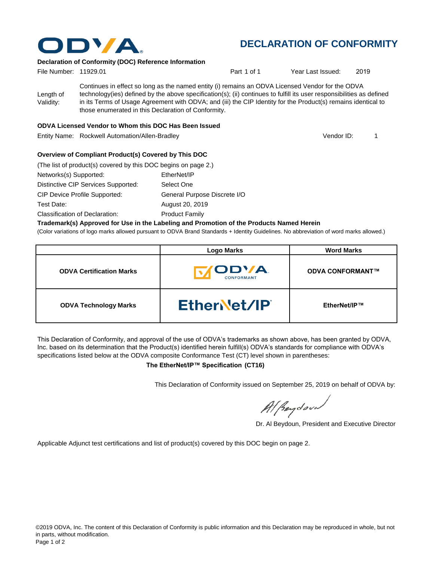

# **DECLARATION OF CONFORMITY**

## **Declaration of Conformity (DOC) Reference Information**

| File Number: 11929.01  |                                                                                                                                                                                                                                                                                                                                                                                                   | Part 1 of 1 | Year Last Issued: | 2019 |
|------------------------|---------------------------------------------------------------------------------------------------------------------------------------------------------------------------------------------------------------------------------------------------------------------------------------------------------------------------------------------------------------------------------------------------|-------------|-------------------|------|
| Length of<br>Validity: | Continues in effect so long as the named entity (i) remains an ODVA Licensed Vendor for the ODVA<br>technology(ies) defined by the above specification(s); (ii) continues to fulfill its user responsibilities as defined<br>in its Terms of Usage Agreement with ODVA; and (iii) the CIP Identity for the Product(s) remains identical to<br>those enumerated in this Declaration of Conformity. |             |                   |      |

#### **ODVA Licensed Vendor to Whom this DOC Has Been Issued**

Entity Name: Rockwell Automation/Allen-Bradley 1

Vendor ID:

### **Overview of Compliant Product(s) Covered by This DOC**

| (The list of product(s) covered by this DOC begins on page 2.) |                              |  |  |  |
|----------------------------------------------------------------|------------------------------|--|--|--|
| Networks(s) Supported:                                         | EtherNet/IP                  |  |  |  |
| Distinctive CIP Services Supported:                            | Select One                   |  |  |  |
| <b>CIP Device Profile Supported:</b>                           | General Purpose Discrete I/O |  |  |  |
| Test Date:                                                     | August 20, 2019              |  |  |  |
| Classification of Declaration:                                 | <b>Product Family</b>        |  |  |  |

#### **Trademark(s) Approved for Use in the Labeling and Promotion of the Products Named Herein**

(Color variations of logo marks allowed pursuant to ODVA Brand Standards + Identity Guidelines. No abbreviation of word marks allowed.)

|                                 | <b>Logo Marks</b>          | <b>Word Marks</b>       |
|---------------------------------|----------------------------|-------------------------|
| <b>ODVA Certification Marks</b> | <b>/ODVA</b><br>CONFORMANT | <b>ODVA CONFORMANT™</b> |
| <b>ODVA Technology Marks</b>    | EtherNet/IP                | EtherNet/IP™            |

This Declaration of Conformity, and approval of the use of ODVA's trademarks as shown above, has been granted by ODVA, Inc. based on its determination that the Product(s) identified herein fulfill(s) ODVA's standards for compliance with ODVA's specifications listed below at the ODVA composite Conformance Test (CT) level shown in parentheses:

#### **The EtherNet/IP™ Specification (CT16)**

This Declaration of Conformity issued on September 25, 2019 on behalf of ODVA by:

Al Beydoor

Dr. Al Beydoun, President and Executive Director

Applicable Adjunct test certifications and list of product(s) covered by this DOC begin on page 2.